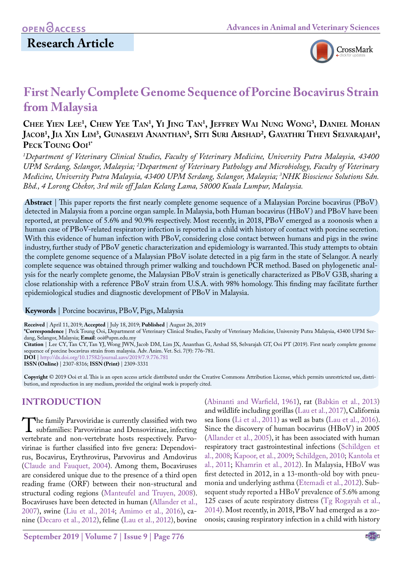

# **First Nearly Complete Genome Sequence of Porcine Bocavirus Strain from Malaysia**

## **Chee Yien Lee1 , Chew Yee Tan1 , Yi Jing Tan1 , Jeffrey Wai Nung Wong3 , Daniel Mohan Jacob1 , Jia Xin Lim3 , Gunaselvi Ananthan3 , Siti Suri Arshad2 , Gayathri Thevi Selvarajah1 ,**  PECK TOUNG OOI<sup>1\*</sup>

*1 Department of Veterinary Clinical Studies, Faculty of Veterinary Medicine, University Putra Malaysia, 43400 UPM Serdang, Selangor, Malaysia; 2 Department of Veterinary Pathology and Microbiology, Faculty of Veterinary Medicine, University Putra Malaysia, 43400 UPM Serdang, Selangor, Malaysia; 3 NHK Bioscience Solutions Sdn. Bhd., 4 Lorong Chekor, 3rd mile off Jalan Kelang Lama, 58000 Kuala Lumpur, Malaysia.*

**Abstract** | This paper reports the first nearly complete genome sequence of a Malaysian Porcine bocavirus (PBoV) detected in Malaysia from a porcine organ sample. In Malaysia, both Human bocavirus (HBoV) and PBoV have been reported, at prevalence of 5.6% and 90.9% respectively. Most recently, in 2018, PBoV emerged as a zoonosis when a human case of PBoV-related respiratory infection is reported in a child with history of contact with porcine secretion. With this evidence of human infection with PBoV, considering close contact between humans and pigs in the swine industry, further study of PBoV genetic characterization and epidemiology is warranted. This study attempts to obtain the complete genome sequence of a Malaysian PBoV isolate detected in a pig farm in the state of Selangor. A nearly complete sequence was obtained through primer walking and touchdown PCR method. Based on phylogenetic analysis for the nearly complete genome, the Malaysian PBoV strain is genetically characterized as PBoV G3B, sharing a close relationship with a reference PBoV strain from U.S.A. with 98% homology. This finding may facilitate further epidemiological studies and diagnostic development of PBoV in Malaysia.

#### **Keywords** | Porcine bocavirus, PBoV, Pigs, Malaysia

**Received** | April 11, 2019; **Accepted** | July 18, 2019; **Published** | August 26, 2019

**\*Correspondence** | Peck Toung Ooi, Department of Veterinary Clinical Studies, Faculty of Veterinary Medicine, University Putra Malaysia, 43400 UPM Serdang, Selangor, Malaysia; **Email**: ooi@upm.edu.my

**Citation** | Lee CY, Tan CY, Tan YJ, Wong JWN, Jacob DM, Lim JX, Ananthan G, Arshad SS, Selvarajah GT, Ooi PT (2019). First nearly complete genome sequence of porcine bocavirus strain from malaysia. Adv. Anim. Vet. Sci. 7(9): 776-781.

**DOI** | [http://dx.doi.org/10.17582/journal.aavs/2019](http://dx.doi.org/10.17582/journal.aavs/2019/7.9.776.781)/7.9.776.781

**ISSN (Online)** | 2307-8316; **ISSN (Print)** | 2309-3331

**Copyright** © 2019 Ooi et al. This is an open access article distributed under the Creative Commons Attribution License, which permits unrestricted use, distribution, and reproduction in any medium, provided the original work is properly cited.

## **INTRODUCTION**

The family Parvoviridae is currently classified with two<br>subfamilies: Parvovirinae and Densovirinae, infecting<br>vertebrate and non-vertebrate bosts respectively Parvovertebrate and non-vertebrate hosts respectively. Parvovirinae is further classified into five genera: Dependovirus, Bocavirus, Erythrovirus, Parvovirus and Amdovirus [\(Claude and Fauquet, 2004](#page-4-0)). Among them, Bocaviruses are considered unique due to the presence of a third open reading frame (ORF) between their non-structural and structural coding regions ([Manteufel and Truyen, 2008\)](#page-4-1). Bocaviruses have been detected in human (Allander et al., 2007), swine ([Liu et al., 2014;](#page-4-2) [Amimo et al., 2016\)](#page-4-3), canine ([Decaro et al., 2012\)](#page-4-4), feline ([Lau et al., 2012](#page-4-5)), bovine

[\(Abinanti and Warfield, 1961](#page-4-6)), rat [\(Babkin et al., 2013\)](#page-4-7) and wildlife including gorillas [\(Lau et al., 2017](#page-4-8)), California sea lions (Li et al., 2011) as well as bats [\(Lau et al., 2016\)](#page-4-9). Since the discovery of human bocavirus (HBoV) in 2005 [\(Allander et al., 2005\)](#page-4-10), it has been associated with human respiratory tract gastrointestinal infections (Schildgen et al., 2008; [Kapoor, et al., 2009;](#page-4-11) [Schildgen, 2010;](#page-5-0) Kantola et al., 2011; [Khamrin et al., 2012](#page-4-12)). In Malaysia, HBoV was first detected in 2012, in a 13-month-old boy with pneumonia and underlying asthma [\(Etemadi et al., 2012](#page-4-13)). Subsequent study reported a HBoV prevalence of 5.6% among 125 cases of acute respiratory distress ([Tg Rogayah et al.,](#page-5-1) [2014\)](#page-5-1). Most recently, in 2018, PBoV had emerged as a zoonosis; causing respiratory infection in a child with history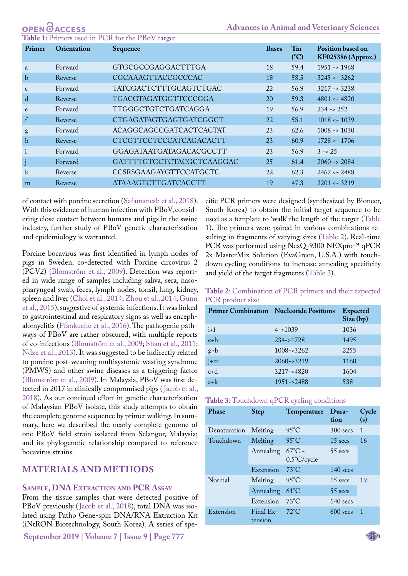<span id="page-1-0"></span>

| Primer       | Orientation | O.<br>Sequence                 | <b>Bases</b> | T <sub>m</sub><br>(C) | <b>Position based on</b><br><b>KF025386 (Approx.)</b> |
|--------------|-------------|--------------------------------|--------------|-----------------------|-------------------------------------------------------|
| a            | Forward     | GTGCGCCGAGGACTTTGA             | 18           | 59.4                  | $1951 \rightarrow 1968$                               |
| $\mathbf b$  | Reverse     | CGCAAAGTTACCGCCCAC             | 18           | 58.5                  | $3245 \leftarrow 3262$                                |
| $\mathbf{C}$ | Forward     | <b>TATCGACTCTTTGCAGTCTGAC</b>  | 22           | 56.9                  | $3217 \rightarrow 3238$                               |
| d            | Reverse     | <b>TGACGTAGATGGTTCCCGGA</b>    | 20           | 59.3                  | $4801 - 4820$                                         |
| e            | Forward     | <b>TTGGGCTGTCTGATCAGGA</b>     | 19           | 56.9                  | $234 \rightarrow 252$                                 |
| $\mathbf{f}$ | Reverse     | CTGAGATAGTGAGTGATCGGCT         | 22           | 58.1                  | $1018 \leftarrow 1039$                                |
| g            | Forward     | ACAGGCAGCCGATCACTCACTAT        | 23           | 62.6                  | $1008 \rightarrow 1030$                               |
| $\mathbf{h}$ | Reverse     | CTCGTTCCTCCCATCAGACACTT        | 23           | 60.9                  | $1728 - 1706$                                         |
| $\mathbf{i}$ | Forward     | <b>GGAGATAATGATAGACACGCCTT</b> | 23           | 56.9                  | $3 \rightarrow 25$                                    |
| $\mathbf{j}$ | Forward     | GATTTTGTGCTCTACGCTCAAGGAC      | 25           | 61.4                  | $2060 \rightarrow 2084$                               |
| k            | Reverse     | CCSRSGAAGAYGTTCCATGCTC         | 22           | 62.3                  | $2467 - 2488$                                         |
| m            | Reverse     | ATAAAGTCTTGATCACCTT            | 19           | 47.3                  | $3201 \leftarrow 3219$                                |

of contact with porcine secretion [\(Safamanesh et al., 2018\)](#page-5-2). With this evidence of human infection with PBoV, considering close contact between humans and pigs in the swine industry, further study of PBoV genetic characterization and epidemiology is warranted.

Porcine bocavirus was first identified in lymph nodes of pigs in Sweden, co-detected with Porcine circovirus 2 (PCV2) (Blomström et al., 2009). Detection was reported in wide range of samples including saliva, sera, nasopharyngeal swab, feces, lymph nodes, tonsil, lung, kidney, spleen and liver ([Choi et al., 2014](#page-4-14); [Zhou et al., 2014](#page-5-3); Gunn et al., 2015), suggestive of systemic infections. It was linked to gastrointestinal and respiratory signs as well as encephalomyelitis (Pfankuche et al., 2016). The pathogenic pathways of PBoV are rather obscured, with multiple reports of co-infections (Blomström et al., 2009; [Shan et al., 2011;](#page-5-4) Ndze et al., 2013). It was suggested to be indirectly related to porcine post-weaning multisystemic wasting syndrome (PMWS) and other swine diseases as a triggering factor (Blomström et al., 2009). In Malaysia, PBoV was first detected in 2017 in clinically compromised pigs ([Jacob et al.,](#page-4-15) [2018](#page-4-15)). As our continual effort in genetic characterization of Malaysian PBoV isolate, this study attempts to obtain the complete genome sequence by primer walking. In summary, here we described the nearly complete genome of one PBoV field strain isolated from Selangor, Malaysia; and its phylogenetic relationship compared to reference bocavirus strains.

## **MATERIALS AND METHODS**

### **Sample, DNA Extraction and PCR Assay**

From the tissue samples that were detected positive of PBoV previously ([Jacob et al., 2018](#page-4-15)), total DNA was isolated using Patho Gene-spin DNA/RNA Extraction Kit (iNtRON Biotechnology, South Korea). A series of spe-

**September 2019 | Volume 7 | Issue 9 | Page 777**

cific PCR primers were designed (synthesized by Bioneer, South Korea) to obtain the initial target sequence to be used as a template to 'walk' the length of the target [\(Table](#page-1-0)  [1](#page-1-0)). The primers were paired in various combinations resulting in fragments of varying sizes ([Table 2](#page-1-1)). Real-time PCR was performed using NexQ-9300 NEXpro™ qPCR 2x MasterMix Solution (EvaGreen, U.S.A.) with touchdown cycling conditions to increase annealing specificity and yield of the target fragments [\(Table 3](#page-1-2)).

#### <span id="page-1-1"></span>**Table 2**: Combination of PCR primers and their expected PCR product size

| <b>Primer Combination Nucleotide Positions</b> |                 | <b>Expected</b><br>Size (bp) |
|------------------------------------------------|-----------------|------------------------------|
| $i + f$                                        | $4 - > 1039$    | 1036                         |
| $e+h$                                          | $234 - 1728$    | 1495                         |
| $g+b$                                          | $1008 - 3262$   | 2255                         |
| $j+m$                                          | $2060 - 3219$   | 1160                         |
| $c+d$                                          | $3217 - > 4820$ | 1604                         |
| $a+k$                                          | $1951 - > 2488$ | 538                          |

<span id="page-1-2"></span>

| Table 3: Touchdown qPCR cycling conditions |  |
|--------------------------------------------|--|
|--------------------------------------------|--|

| <b>Phase</b> | <b>Step</b>          | Temperature                               | Dura-<br>tion      | Cycle<br>(s)   |  |
|--------------|----------------------|-------------------------------------------|--------------------|----------------|--|
| Denaturation | Melting              | $95^{\circ}$ C                            | $300$ secs         | $\mathbf{1}$   |  |
| Touchdown    | Melting              | $95^{\circ}$ C                            | $15$ secs          | 16             |  |
|              | Annealing            | $67^{\circ}$ C -<br>$0.5^{\circ}$ C/cycle | $55$ secs          |                |  |
|              | Extension            | $73^{\circ}$ C                            | $140$ secs         |                |  |
| Normal       | Melting              | $95^{\circ}$ C                            | $15 \text{ secs}$  | 19             |  |
|              | Annealing            | $61^{\circ}$ C                            | $55$ secs          |                |  |
|              | Extension            | $73^{\circ}$ C                            | $140$ secs         |                |  |
| Extension    | Final Ex-<br>tension | $72^{\circ}$ C                            | $600 \text{ secs}$ | $\overline{1}$ |  |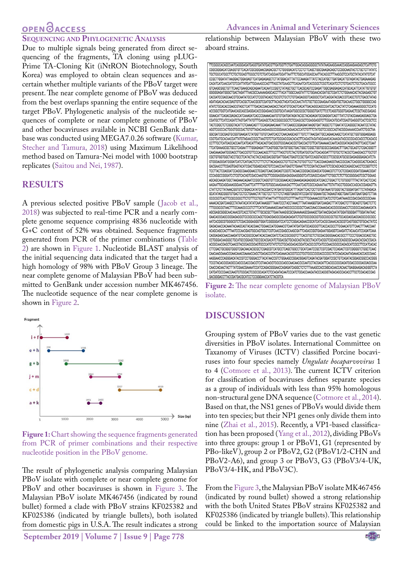## **OPEN**OACCESS

#### **Sequencing and Phylogenetic Analysis**

Due to multiple signals being generated from direct sequencing of the fragments, TA cloning using pLUG-Prime TA-Cloning Kit (iNtRON Biotechnology, South Korea) was employed to obtain clean sequences and ascertain whether multiple variants of the PBoV target were present. The near complete genome of PBoV was deduced from the best overlaps spanning the entire sequence of the target PBoV. Phylogenetic analysis of the nucleotide sequences of complete or near complete genome of PBoV and other bocaviruses available in NCBI GenBank database was conducted using MEGA7.0.26 software [\(Kumar,](#page-4-16) [Stecher and Tamura, 2018\)](#page-4-16) using Maximum Likelihood method based on Tamura-Nei model with 1000 bootstrap replicates ([Saitou and Nei, 1987](#page-5-5)).

#### **RESULTS**

A previous selected positive PBoV sample ([Jacob et al.,](#page-4-15) [2018](#page-4-15)) was subjected to real-time PCR and a nearly complete genome sequence comprising 4836 nucleotide with G+C content of 52% was obtained. Sequence fragments generated from PCR of the primer combinations ([Table](#page-1-1) [2\)](#page-1-1) are shown in [Figure 1](#page-2-0). Nucleotide BLAST analysis of the initial sequencing data indicated that the target had a high homology of 98% with PBoV Group 3 lineage. The near complete genome of Malaysian PBoV had been submitted to GenBank under accession number MK467456. The nucleotide sequence of the near complete genome is shown in [Figure 2.](#page-2-1)



<span id="page-2-0"></span>Figure 1: Chart showing the sequence fragments generated from PCR of primer combinations and their respective nucleotide position in the PBoV genome.

The result of phylogenetic analysis comparing Malaysian PBoV isolate with complete or near complete genome for PBoV and other bocaviruses is shown in [Figure 3](#page-3-0). The Malaysian PBoV isolate MK467456 (indicated by round bullet) formed a clade with PBoV strains KF025382 and KF025386 (indicated by triangle bullets), both isolated from domestic pigs in U.S.A. The result indicates a strong

**September 2019 | Volume 7 | Issue 9 | Page 778**

relationship between Malaysian PBoV with these two aboard strains.



<span id="page-2-1"></span>**Figure 2:** The near complete genome of Malaysian PBoV isolate.

#### **DISCUSSION**

Grouping system of PBoV varies due to the vast genetic diversities in PBoV isolates. International Committee on Taxanomy of Viruses (ICTV) classified Porcine bocaviruses into four species namely *Ungulate bocaparvovirus* 1 to 4 ([Cotmore et al., 2013\)](#page-4-17). The current ICTV criterion for classification of bocaviruses defines separate species as a group of individuals with less than 95% homologous non-structural gene DNA sequence [\(Cotmore et al., 2014\)](#page-4-18). Based on that, the NS1 genes of PBoVs would divide them into ten species; but their NP1 genes only divide them into nine [\(Zhai et al., 2015](#page-5-6)). Recently, a VP1-based classification has been proposed ([Yang et al., 2012\)](#page-5-7), dividing PBoVs into three groups: group 1 or PBoV1, G1 (represented by PBo-likeV), group 2 or PBoV2, G2 (PBoV1/2-CHN and PBoV2-A6), and group 3 or PBoV3, G3 (PBoV3/4-UK, PBoV3/4-HK, and PBoV3C).

From the [Figure 3,](#page-3-0) the Malaysian PBoV isolate MK467456 (indicated by round bullet) showed a strong relationship with the both United States PBoV strains KF025382 and KF025386 (indicated by triangle bullets). This relationship could be linked to the importation source of Malaysian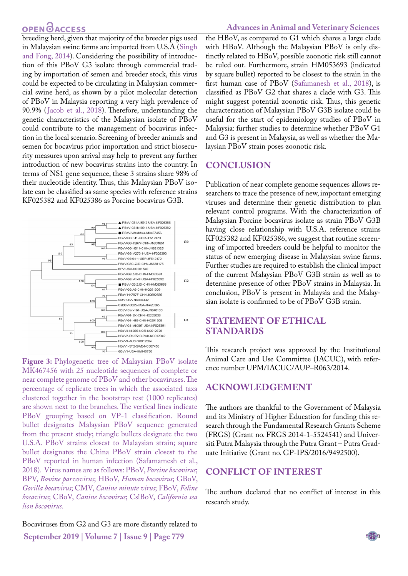## **OPEN GACCESS**

breeding herd, given that majority of the breeder pigs used in Malaysian swine farms are imported from U.S.A ([Singh](#page-5-8) [and Fong, 2014](#page-5-8)). Considering the possibility of introduction of this PBoV G3 isolate through commercial trading by importation of semen and breeder stock, this virus could be expected to be circulating in Malaysian commercial swine herd, as shown by a pilot molecular detection of PBoV in Malaysia reporting a very high prevalence of 90.9% ([Jacob et al., 2018\)](#page-4-15). Therefore, understanding the genetic characteristics of the Malaysian isolate of PBoV could contribute to the management of bocavirus infection in the local scenario. Screening of breeder animals and semen for bocavirus prior importation and strict biosecurity measures upon arrival may help to prevent any further introduction of new bocavirus strains into the country. In terms of NS1 gene sequence, these 3 strains share 98% of their nucleotide identity. Thus, this Malaysian PBoV isolate can be classified as same species with reference strains KF025382 and KF025386 as Porcine bocavirus G3B.



<span id="page-3-0"></span>**Figure 3:** Phylogenetic tree of Malaysian PBoV isolate MK467456 with 25 nucleotide sequences of complete or near complete genome of PBoV and other bocaviruses. The percentage of replicate trees in which the associated taxa clustered together in the bootstrap test (1000 replicates) are shown next to the branches. The vertical lines indicate PBoV grouping based on VP-1 classification. Round bullet designates Malaysian PBoV sequence generated from the present study; triangle bullets designate the two U.S.A. PBoV strains closest to Malaysian strain; square bullet designates the China PBoV strain closest to the PBoV reported in human infection [\(Safamamesh et al.,](#page-5-2) [2018\)](#page-5-2). Virus names are as follows: PBoV, *Porcine bocavirus*; BPV, *Bovine parvovirus*; HBoV, *Human bocavirus*; GBoV, *Gorilla bocavirus*; CMV, *Canine minute virus*; FBoV, *Feline bocavirus*; CBoV, *Canine bocavirus*; CslBoV, *California sea lion bocavirus*.

Bocaviruses from G2 and G3 are more distantly related to

the HBoV, as compared to G1 which shares a large clade with HBoV. Although the Malaysian PBoV is only distinctly related to HBoV, possible zoonotic risk still cannot be ruled out. Furthermore, strain HM053693 (indicated by square bullet) reported to be closest to the strain in the first human case of PBoV [\(Safamanesh et al., 2018\)](#page-5-2), is classified as PBoV G2 that shares a clade with G3. This might suggest potential zoonotic risk. Thus, this genetic characterization of Malaysian PBoV G3B isolate could be useful for the start of epidemiology studies of PBoV in Malaysia: further studies to determine whether PBoV G1 and G3 is present in Malaysia, as well as whether the Malaysian PBoV strain poses zoonotic risk.

## **CONCLUSION**

Publication of near complete genome sequences allows researchers to trace the presence of new, important emerging viruses and determine their genetic distribution to plan relevant control programs. With the characterization of Malaysian Porcine bocavirus isolate as strain PBoV G3B having close relationship with U.S.A. reference strains KF025382 and KF025386, we suggest that routine screening of imported breeders could be helpful to monitor the status of new emerging disease in Malaysian swine farms. Further studies are required to establish the clinical impact of the current Malaysian PBoV G3B strain as well as to determine presence of other PBoV strains in Malaysia. In conclusion, PBoV is present in Malaysia and the Malaysian isolate is confirmed to be of PBoV G3B strain.

## **STATEMENT OF ETHICAL STANDARDS**

This research project was approved by the Institutional Animal Care and Use Committee (IACUC), with reference number UPM/IACUC/AUP–R063/2014.

## **ACKNOWLEDGEMENT**

The authors are thankful to the Government of Malaysia and its Ministry of Higher Education for funding this research through the Fundamental Research Grants Scheme (FRGS) (Grant no. FRGS 2014-1-5524541) and Universiti Putra Malaysia through the Putra Grant – Putra Graduate Initiative (Grant no. GP-IPS/2016/9492500).

## **Conflict of interest**

The authors declared that no conflict of interest in this research study.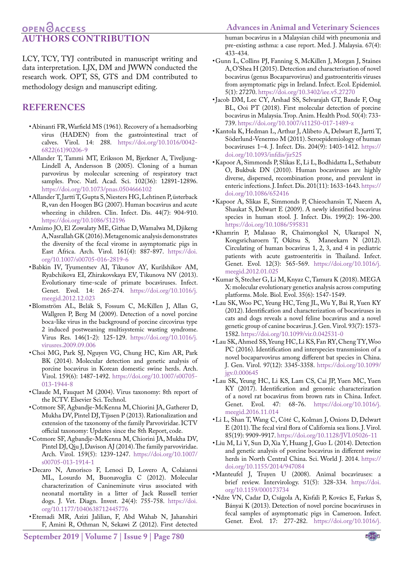## **OPEN**OACCESS **AUGRITHORS CONTRIBUTION**

**Advances in Animal and Veterinary Sciences**

LCY, TCY, TYJ contributed in manuscript writing and data interpretation. LJX, DM and JWWN conducted the research work. OPT, SS, GTS and DM contributed to methodology design and manuscript editing.

### **REFERENCES**

- <span id="page-4-6"></span>• Abinanti FR, Warfield MS (1961). Recovery of a hemadsorbing virus (HADEN) from the gastrointestinal tract of calves. Virol. 14: 288. [https://doi.org/10.1016/0042-](https://doi.org/10.1016/0042-6822(61)90206-9 ) [6822\(61\)90206-9](https://doi.org/10.1016/0042-6822(61)90206-9 )
- <span id="page-4-10"></span>• Allander T, Tammi MT, Eriksson M, Bjerkner A, Tiveljung-Lindell A, Andersson B (2005). Cloning of a human parvovirus by molecular screening of respiratory tract samples. Proc. Natl. Acad. Sci. 102(36): 12891-12896. <https://doi.org/10.1073/pnas.0504666102>
- • Allander T, Jartti T, Gupta S, Niesters HG, Lehtinen P, üsterback R, van den Hoogen BG (2007). Human bocavirus and acute wheezing in children. Clin. Infect. Dis. 44(7): 904-910. <https://doi.org/10.1086/512196>
- <span id="page-4-3"></span>• Amimo JO, El Zowalaty ME, Githae D, Wamalwa M, Djikeng A, Nasrallah GK (2016). Metagenomic analysis demonstrates the diversity of the fecal virome in asymptomatic pigs in East Africa. Arch. Virol. 161(4): 887-897. [https://doi.](https://doi.org/10.1007/s00705-016-2819-6) [org/10.1007/s00705-016-2819-6](https://doi.org/10.1007/s00705-016-2819-6)
- <span id="page-4-7"></span>• Babkin IV, Tyumentsev AI, Tikunov AY, Kurilshikov AM, Ryabchikova EI, Zhirakovskaya EV, Tikunova NV (2013). Evolutionary time-scale of primate bocaviruses. Infect. Genet. Evol. 14: 265-274. [https://doi.org/10.1016/j.](https://doi.org/10.1016/j.meegid.2012.12.023 ) [meegid.2012.12.023](https://doi.org/10.1016/j.meegid.2012.12.023 )
- • Blomström AL, Belák S, Fossum C, McKillen J, Allan G, Wallgren P, Berg M (2009). Detection of a novel porcine boca-like virus in the background of porcine circovirus type 2 induced postweaning multisystemic wasting syndrome. Virus Res. 146(1-2): 125-129[. https://doi.org/10.1016/j.]( https://doi.org/10.1016/j.virusres.2009.09.006 ) [virusres.2009.09.006]( https://doi.org/10.1016/j.virusres.2009.09.006 )
- <span id="page-4-14"></span>• Choi MG, Park SJ, Nguyen VG, Chung HC, Kim AR, Park BK (2014). Molecular detection and genetic analysis of porcine bocavirus in Korean domestic swine herds. Arch. Virol. 159(6): 1487-1492. [https://doi.org/10.1007/s00705-](https://doi.org/10.1007/s00705-013-1944-8 ) [013-1944-8](https://doi.org/10.1007/s00705-013-1944-8 )
- <span id="page-4-0"></span>• Claude M, Fauquet M (2004). Virus taxonomy: 8th report of the ICTV. Elsevier Sci. Technol.
- <span id="page-4-17"></span>• Cotmore SF, Agbandje-McKenna M, Chiorini JA, Gatherer D, Mukha DV, Pintel DJ, Tijssen P (2013). Rationalization and extension of the taxonomy of the family Parvoviridae. ICTV official taxonomy: Updates since the 8th Report, code.
- <span id="page-4-18"></span>• Cotmore SF, Agbandje-McKenna M, Chiorini JA, Mukha DV, Pintel DJ, Qiu J, Davison AJ (2014). The family parvoviridae. Arch. Virol. 159(5): 1239-1247. [https://doi.org/10.1007/](https://doi.org/10.1007/s00705-013-1914-1 ) [s00705-013-1914-1](https://doi.org/10.1007/s00705-013-1914-1 )
- <span id="page-4-4"></span>• Decaro N, Amorisco F, Lenoci D, Lovero A, Colaianni ML, Losurdo M, Buonavoglia C (2012). Molecular characterization of Canineminute virus associated with neonatal mortality in a litter of Jack Russell terrier dogs. J. Vet. Diagn. Invest. 24(4): 755-758. [https://doi.](https://doi.org/10.1177/1040638712445776 ) [org/10.1177/1040638712445776](https://doi.org/10.1177/1040638712445776 )
- <span id="page-4-13"></span>• Etemadi MR, Azizi Jalilian, F, Abd Wahab N, Jahanshiri F, Amini R, Othman N, Sekawi Z (2012). First detected

**September 2019 | Volume 7 | Issue 9 | Page 780**

human bocavirus in a Malaysian child with pneumonia and pre-existing asthma: a case report. Med. J. Malaysia. 67(4): 433-434.

- • Gunn L, Collins PJ, Fanning S, McKillen J, Morgan J, Staines A, O'Shea H (2015). Detection and characterisation of novel bocavirus (genus Bocaparvovirus) and gastroenteritis viruses from asymptomatic pigs in Ireland. Infect. Ecol. Epidemiol. 5(1): 27270. [https://doi.org/10.3402/iee.v5.27270](https://doi.org/10.3402/iee.v5.27270 )
- <span id="page-4-15"></span>• Jacob DM, Lee CY, Arshad SS, Selvarajah GT, Bande F, Ong BL, Ooi PT (2018). First molecular detection of porcine bocavirus in Malaysia. Trop. Anim. Health Prod. 50(4): 733- 739.<https://doi.org/10.1007/s11250-017-1489-z>
- • Kantola K, Hedman L, Arthur J, Alibeto A, Delwart E, Jartti T, Söderlund-Venermo M (2011). Seroepidemiology of human bocaviruses 1–4. J. Infect. Dis. 204(9): 1403-1412. [https://](https://doi.org/10.1093/infdis/jir525 ) [doi.org/10.1093/infdis/jir525](https://doi.org/10.1093/infdis/jir525 )
- • Kapoor A, Simmonds P, Slikas E, Li L, Bodhidatta L, Sethabutr O, Bukbuk DN (2010). Human bocaviruses are highly diverse, dispersed, recombination prone, and prevalent in enteric infections. J. Infect. Dis. 201(11): 1633-1643. [https://](https://doi.org/10.1086/652416 ) [doi.org/10.1086/652416](https://doi.org/10.1086/652416 )
- <span id="page-4-11"></span>• Kapoor A, Slikas E, Simmonds P, Chieochansin T, Naeem A, Shaukat S, Delwart E (2009). A newly identified bocavirus species in human stool. J. Infect. Dis. 199(2): 196-200. <https://doi.org/10.1086/595831>
- <span id="page-4-12"></span>• Khamrin P, Malasao R, Chaimongkol N, Ukarapol N, Kongsricharoern T, Okitsu S, Maneekarn N (2012). Circulating of human bocavirus 1, 2, 3, and 4 in pediatric patients with acute gastroenteritis in Thailand. Infect. Genet. Evol. 12(3): 565-569. [https://doi.org/10.1016/j.](https://doi.org/10.1016/j.meegid.2012.01.025 ) [meegid.2012.01.025](https://doi.org/10.1016/j.meegid.2012.01.025 )
- <span id="page-4-16"></span>• [Kumar S, Stecher G, Li M, Knyaz C, Tamura K \(2018\). MEGA](https://doi.org/10.1016/j.meegid.2012.01.025 )  [X: molecular evolutionary genetics analysis across computing](https://doi.org/10.1016/j.meegid.2012.01.025 )  [platforms. Mole. Biol. Evol. 35\(6\): 1547-1549.](https://doi.org/10.1016/j.meegid.2012.01.025 )
- <span id="page-4-5"></span>• Lau SK, Woo PC, Yeung HC, Teng JL, Wu Y, Bai R, Yuen KY (2012). Identification and characterization of bocaviruses in cats and dogs reveals a novel feline bocavirus and a novel genetic group of canine bocavirus. J. Gen. Virol. 93(7): 1573- 1582. [https://doi.org/10.1099/vir.0.042531-0](https://doi.org/10.1099/vir.0.042531-0 )
- <span id="page-4-9"></span>• Lau SK, Ahmed SS, Yeung HC, Li KS, Fan RY, Cheng TY, Woo PC (2016). Identification and interspecies transmission of a novel bocaparvovirus among different bat species in China. J. Gen. Virol. 97(12): 3345-3358. [https://doi.org/10.1099/](https://doi.org/10.1099/jgv.0.000645 ) [jgv.0.000645](https://doi.org/10.1099/jgv.0.000645 )
- <span id="page-4-8"></span>• Lau SK, Yeung HC, Li KS, Lam CS, Cai JP, Yuen MC, Yuen KY (2017). Identification and genomic characterization of a novel rat bocavirus from brown rats in China. Infect. Genet. Evol. 47: 68-76. [https://doi.org/10.1016/j.](https://doi.org/10.1016/j.meegid.2016.11.014 ) [meegid.2016.11.014](https://doi.org/10.1016/j.meegid.2016.11.014 )
- • Li L, Shan T, Wang C, Côté C, Kolman J, Onions D, Delwart E (2011). The fecal viral flora of California sea lions. J. Virol. 85(19): 9909-9917.<https://doi.org/10.1128/JVI.05026-11>
- <span id="page-4-2"></span>• Liu M, Li Y, Sun D, Xia Y, Huang J, Guo L (2014). Detection and genetic analysis of porcine bocavirus in different swine herds in North Central China. Sci. World J. 2014[. https://]( https://doi.org/10.1155/2014/947084 ) [doi.org/10.1155/2014/947084]( https://doi.org/10.1155/2014/947084 )
- <span id="page-4-1"></span>• Manteufel J, Truyen U (2008). Animal bocaviruses: a brief review. Intervirology. 51(5): 328-334. [https://doi.](https://doi.org/10.1159/000173734) [org/10.1159/000173734](https://doi.org/10.1159/000173734)
- • Ndze VN, Cadar D, Cságola A, Kisfali P, Kovács E, Farkas S, Bányai K (2013). Detection of novel porcine bocaviruses in fecal samples of asymptomatic pigs in Cameroon. Infect. Genet. Evol. 17: 277-282. [https://doi.org/10.1016/j.](https://doi.org/10.1016/j.meegid.2013.03.006 )